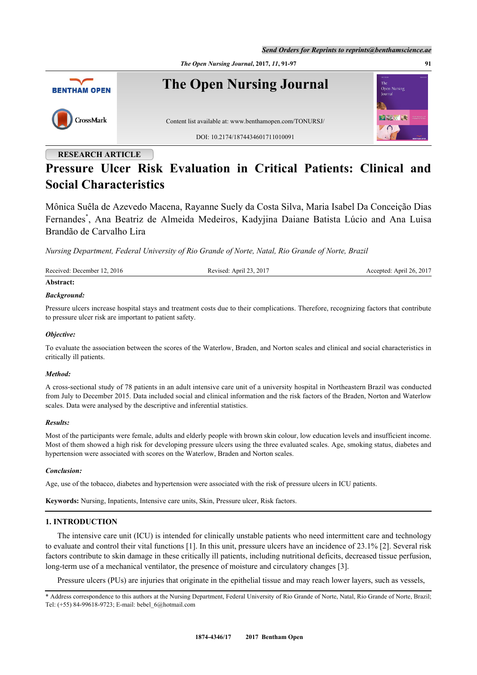*Send Orders for Reprints to reprints@benthamscience.ae*



# **RESEARCH ARTICLE**

# **Pressure Ulcer Risk Evaluation in Critical Patients: Clinical and Social Characteristics**

Mônica Suêla de Azevedo Macena, Rayanne Suely da Costa Silva, Maria Isabel Da Conceição Dias Fernandes[\\*](#page-0-0) , Ana Beatriz de Almeida Medeiros, Kadyjina Daiane Batista Lúcio and Ana Luisa Brandão de Carvalho Lira

*Nursing Department, Federal University of Rio Grande of Norte, Natal, Rio Grande of Norte, Brazil*

| Received: December 12, 2016 | Revised: April 23, 2017 | Accepted: April 26, 2017 |
|-----------------------------|-------------------------|--------------------------|
| Abstract:                   |                         |                          |

## *Background:*

Pressure ulcers increase hospital stays and treatment costs due to their complications. Therefore, recognizing factors that contribute to pressure ulcer risk are important to patient safety.

## *Objective:*

To evaluate the association between the scores of the Waterlow, Braden, and Norton scales and clinical and social characteristics in critically ill patients.

## *Method:*

A cross-sectional study of 78 patients in an adult intensive care unit of a university hospital in Northeastern Brazil was conducted from July to December 2015. Data included social and clinical information and the risk factors of the Braden, Norton and Waterlow scales. Data were analysed by the descriptive and inferential statistics.

## *Results:*

Most of the participants were female, adults and elderly people with brown skin colour, low education levels and insufficient income. Most of them showed a high risk for developing pressure ulcers using the three evaluated scales. Age, smoking status, diabetes and hypertension were associated with scores on the Waterlow, Braden and Norton scales.

## *Conclusion:*

Age, use of the tobacco, diabetes and hypertension were associated with the risk of pressure ulcers in ICU patients.

**Keywords:** Nursing, Inpatients, Intensive care units, Skin, Pressure ulcer, Risk factors.

# **1. INTRODUCTION**

The intensive care unit (ICU) is intended for clinically unstable patients who need intermittent care and technology to evaluate and control their vital functions [[1\]](#page-5-0). In this unit, pressure ulcers have an incidence of 23.1% [\[2](#page-5-1)]. Several risk factors contribute to skin damage in these critically ill patients, including nutritional deficits, decreased tissue perfusion, long-term use of a mechanical ventilator, the presence of moisture and circulatory changes [[3\]](#page-5-2).

Pressure ulcers (PUs) are injuries that originate in the epithelial tissue and may reach lower layers, such as vessels,

<span id="page-0-0"></span><sup>\*</sup> Address correspondence to this authors at the Nursing Department, Federal University of Rio Grande of Norte, Natal, Rio Grande of Norte, Brazil; Tel: (+55) 84-99618-9723; E-mail: [bebel\\_6@hotmail.com](mailto:bebel_6@hotmail.com)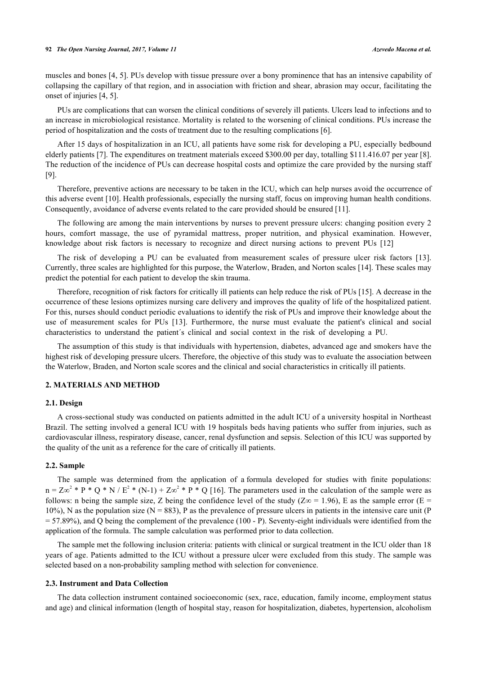muscles and bones [[4](#page-5-3), [5](#page-5-4)]. PUs develop with tissue pressure over a bony prominence that has an intensive capability of collapsing the capillary of that region, and in association with friction and shear, abrasion may occur, facilitating the onset of injuries [[4,](#page-5-3) [5\]](#page-5-4).

PUs are complications that can worsen the clinical conditions of severely ill patients. Ulcers lead to infections and to an increase in microbiological resistance. Mortality is related to the worsening of clinical conditions. PUs increase the period of hospitalization and the costs of treatment due to the resulting complications [[6\]](#page-5-5).

After 15 days of hospitalization in an ICU, all patients have some risk for developing a PU, especially bedbound elderly patients [[7\]](#page-5-6). The expenditures on treatment materials exceed \$300.00 per day, totalling \$111.416.07 per year [[8\]](#page-5-7). The reduction of the incidence of PUs can decrease hospital costs and optimize the care provided by the nursing staff [\[9](#page-5-8)].

Therefore, preventive actions are necessary to be taken in the ICU, which can help nurses avoid the occurrence of this adverse event [\[10](#page-5-9)]. Health professionals, especially the nursing staff, focus on improving human health conditions. Consequently, avoidance of adverse events related to the care provided should be ensured [[11\]](#page-5-10).

The following are among the main interventions by nurses to prevent pressure ulcers: changing position every 2 hours, comfort massage, the use of pyramidal mattress, proper nutrition, and physical examination. However, knowledge about risk factors is necessary to recognize and direct nursing actions to prevent PUs [\[12](#page-5-11)]

The risk of developing a PU can be evaluated from measurement scales of pressure ulcer risk factors [\[13\]](#page-5-12). Currently, three scales are highlighted for this purpose, the Waterlow, Braden, and Norton scales [\[14](#page-5-13)]. These scales may predict the potential for each patient to develop the skin trauma.

Therefore, recognition of risk factors for critically ill patients can help reduce the risk of PUs [[15\]](#page-5-14). A decrease in the occurrence of these lesions optimizes nursing care delivery and improves the quality of life of the hospitalized patient. For this, nurses should conduct periodic evaluations to identify the risk of PUs and improve their knowledge about the use of measurement scales for PUs [\[13](#page-5-12)]. Furthermore, the nurse must evaluate the patient's clinical and social characteristics to understand the patient´s clinical and social context in the risk of developing a PU.

The assumption of this study is that individuals with hypertension, diabetes, advanced age and smokers have the highest risk of developing pressure ulcers. Therefore, the objective of this study was to evaluate the association between the Waterlow, Braden, and Norton scale scores and the clinical and social characteristics in critically ill patients.

## **2. MATERIALS AND METHOD**

#### **2.1. Design**

A cross-sectional study was conducted on patients admitted in the adult ICU of a university hospital in Northeast Brazil. The setting involved a general ICU with 19 hospitals beds having patients who suffer from injuries, such as cardiovascular illness, respiratory disease, cancer, renal dysfunction and sepsis. Selection of this ICU was supported by the quality of the unit as a reference for the care of critically ill patients.

## **2.2. Sample**

The sample was determined from the application of a formula developed for studies with finite populations:  $n = Z\infty^2 * P * Q * N / E^2 * (N-1) + Z\infty^2 * P * Q$  [[16\]](#page-5-15). The parameters used in the calculation of the sample were as follows: n being the sample size, Z being the confidence level of the study ( $Z\infty = 1.96$ ), E as the sample error (E =  $10\%$ ), N as the population size (N = 883), P as the prevalence of pressure ulcers in patients in the intensive care unit (P  $= 57.89\%$ ), and Q being the complement of the prevalence (100 - P). Seventy-eight individuals were identified from the application of the formula. The sample calculation was performed prior to data collection.

The sample met the following inclusion criteria: patients with clinical or surgical treatment in the ICU older than 18 years of age. Patients admitted to the ICU without a pressure ulcer were excluded from this study. The sample was selected based on a non-probability sampling method with selection for convenience.

## **2.3. Instrument and Data Collection**

The data collection instrument contained socioeconomic (sex, race, education, family income, employment status and age) and clinical information (length of hospital stay, reason for hospitalization, diabetes, hypertension, alcoholism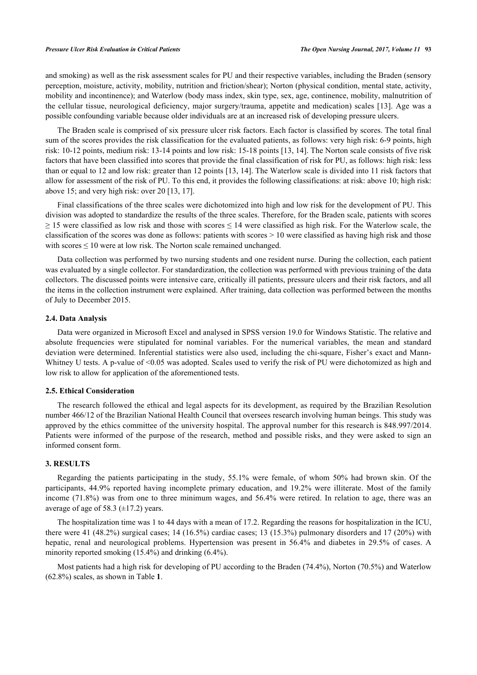#### *Pressure Ulcer Risk Evaluation in Critical Patients The Open Nursing Journal, 2017, Volume 11* **93**

and smoking) as well as the risk assessment scales for PU and their respective variables, including the Braden (sensory perception, moisture, activity, mobility, nutrition and friction/shear); Norton (physical condition, mental state, activity, mobility and incontinence); and Waterlow (body mass index, skin type, sex, age, continence, mobility, malnutrition of the cellular tissue, neurological deficiency, major surgery/trauma, appetite and medication) scales [\[13\]](#page-5-12). Age was a possible confounding variable because older individuals are at an increased risk of developing pressure ulcers.

The Braden scale is comprised of six pressure ulcer risk factors. Each factor is classified by scores. The total final sum of the scores provides the risk classification for the evaluated patients, as follows: very high risk: 6-9 points, high risk: 10-12 points, medium risk: 13-14 points and low risk: 15-18 points [\[13](#page-5-12), [14](#page-5-13)]. The Norton scale consists of five risk factors that have been classified into scores that provide the final classification of risk for PU, as follows: high risk: less than or equal to 12 and low risk: greater than 12 points [[13](#page-5-12), [14](#page-5-13)]. The Waterlow scale is divided into 11 risk factors that allow for assessment of the risk of PU. To this end, it provides the following classifications: at risk: above 10; high risk: above 15; and very high risk: over 20 [\[13](#page-5-12), [17](#page-5-16)].

Final classifications of the three scales were dichotomized into high and low risk for the development of PU. This division was adopted to standardize the results of the three scales. Therefore, for the Braden scale, patients with scores  $\geq$  15 were classified as low risk and those with scores  $\leq$  14 were classified as high risk. For the Waterlow scale, the classification of the scores was done as follows: patients with scores  $> 10$  were classified as having high risk and those with scores  $\leq 10$  were at low risk. The Norton scale remained unchanged.

Data collection was performed by two nursing students and one resident nurse. During the collection, each patient was evaluated by a single collector. For standardization, the collection was performed with previous training of the data collectors. The discussed points were intensive care, critically ill patients, pressure ulcers and their risk factors, and all the items in the collection instrument were explained. After training, data collection was performed between the months of July to December 2015.

#### **2.4. Data Analysis**

Data were organized in Microsoft Excel and analysed in SPSS version 19.0 for Windows Statistic. The relative and absolute frequencies were stipulated for nominal variables. For the numerical variables, the mean and standard deviation were determined. Inferential statistics were also used, including the chi-square, Fisher's exact and Mann-Whitney U tests. A p-value of <0.05 was adopted. Scales used to verify the risk of PU were dichotomized as high and low risk to allow for application of the aforementioned tests.

## **2.5. Ethical Consideration**

The research followed the ethical and legal aspects for its development, as required by the Brazilian Resolution number 466/12 of the Brazilian National Health Council that oversees research involving human beings. This study was approved by the ethics committee of the university hospital. The approval number for this research is 848.997/2014. Patients were informed of the purpose of the research, method and possible risks, and they were asked to sign an informed consent form.

# **3. RESULTS**

Regarding the patients participating in the study, 55.1% were female, of whom 50% had brown skin. Of the participants, 44.9% reported having incomplete primary education, and 19.2% were illiterate. Most of the family income (71.8%) was from one to three minimum wages, and 56.4% were retired. In relation to age, there was an average of age of 58.3  $(\pm 17.2)$  years.

The hospitalization time was 1 to 44 days with a mean of 17.2. Regarding the reasons for hospitalization in the ICU, there were 41 (48.2%) surgical cases; 14 (16.5%) cardiac cases; 13 (15.3%) pulmonary disorders and 17 (20%) with hepatic, renal and neurological problems. Hypertension was present in 56.4% and diabetes in 29.5% of cases. A minority reported smoking (15.4%) and drinking (6.4%).

Most patients had a high risk for developing of PU according to the Braden (74.4%), Norton (70.5%) and Waterlow (62.8%) scales, as shown in Table **[1](#page-3-0)**.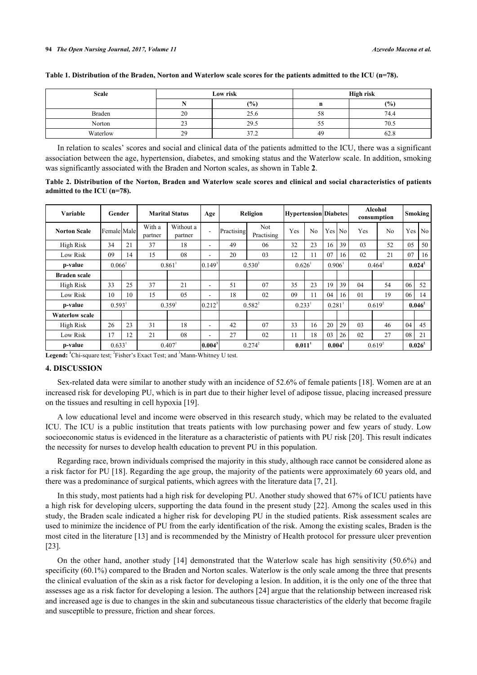| <b>Scale</b> |              | Low risk | High risk |      |  |  |  |
|--------------|--------------|----------|-----------|------|--|--|--|
|              |              | (9/0)    | n         | (%)  |  |  |  |
| Braden       | 20           | 25.6     | 58        | 74.4 |  |  |  |
| Norton       | $\sim$<br>د∠ | 29.5     | ככ        | 70.5 |  |  |  |
| Waterlow     | 29           | 37.2     | 49        | 62.8 |  |  |  |

#### <span id="page-3-0"></span>**Table 1. Distribution of the Braden, Norton and Waterlow scale scores for the patients admitted to the ICU (n=78).**

In relation to scales' scores and social and clinical data of the patients admitted to the ICU, there was a significant association between the age, hypertension, diabetes, and smoking status and the Waterlow scale. In addition, smoking was significantly associated with the Braden and Norton scales, as shown in Table **[2](#page-3-1)**.

<span id="page-3-1"></span>**Table 2. Distribution of the Norton, Braden and Waterlow scale scores and clinical and social characteristics of patients admitted to the ICU (n=78).**

| Variable              | Gender      |    |                      | <b>Marital Status</b> | Age         | Religion<br><b>Hypertension Diabetes</b> |                          |                      |                | Alcohol<br>consumption | Smoking  |             |                |           |           |  |
|-----------------------|-------------|----|----------------------|-----------------------|-------------|------------------------------------------|--------------------------|----------------------|----------------|------------------------|----------|-------------|----------------|-----------|-----------|--|
| <b>Norton Scale</b>   | Female Male |    | With a<br>partner    | Without a<br>partner  | ۰           | Practising                               | <b>Not</b><br>Practising | Yes                  | N <sub>0</sub> |                        | Yes   No | Yes         | N <sub>0</sub> |           | Yes No    |  |
| High Risk             | 34          | 21 | 37                   | 18                    | ۰           | 49                                       | 06                       | 32                   | 23             | 16                     | 39       | 03          | 52             | 05        | 50        |  |
| <b>Low Risk</b>       | 09          | 14 | 15                   | 08                    | ۰           | 20                                       | 03                       | 12                   | 11             | 07                     | 16       | 02          | 21             | 07        | 16        |  |
| p-value               | $0.066^1$   |    | 0.861                |                       | $0.149^{3}$ |                                          | $0.530^{2}$              | $0.626$ <sup>1</sup> |                | $0.906^1$              |          | $0.464^2$   |                | $0.024^2$ |           |  |
| <b>Braden scale</b>   |             |    |                      |                       |             |                                          |                          |                      |                |                        |          |             |                |           |           |  |
| High Risk             | 33          | 25 | 37                   | 21                    | ۰           | 51                                       | 07                       | 35                   | 23             | 19                     | 39       | 04          | 54             | 06        | 52        |  |
| Low Risk              | 10          | 10 | 15                   | 0.5                   | ۰           | 18                                       | 02                       | 09                   | 11             | 04                     | 16       | 01          | 19             | 06        | 14        |  |
| p-value               | 0.593       |    | $0.359$ <sup>1</sup> |                       | $0.212^{3}$ | $0.582^{2}$                              |                          | 0.281<br>0.233       |                | $0.619^{2}$            |          | $0.046^2$   |                |           |           |  |
| <b>Waterlow scale</b> |             |    |                      |                       |             |                                          |                          |                      |                |                        |          |             |                |           |           |  |
| High Risk             | 26          | 23 | 31                   | 18                    | ۰           | 42                                       | 07                       | 33                   | 16             | 20                     | 29       | 03          | 46             | 04        | 45        |  |
| <b>Low Risk</b>       | 17          | 12 | 21                   | 08                    | ۰           | 27                                       | 02                       | 11                   | 18             | 03                     | 26       | 02          | 27             | 08        | 21        |  |
| p-value               | 0.633       |    | 0.407                |                       | $ 0.004^3$  | $0.274^{2}$                              |                          | $0.011$ <sup>1</sup> |                | 0.004 <sup>1</sup>     |          | $0.619^{2}$ |                |           | $0.026^2$ |  |

Legend: <sup>1</sup>Chi-square test; <sup>2</sup>Fisher's Exact Test; and <sup>3</sup>Mann-Whitney U test.

#### **4. DISCUSSION**

Sex-related data were similar to another study with an incidence of 52.6% of female patients [\[18](#page-5-17)]. Women are at an increased risk for developing PU, which is in part due to their higher level of adipose tissue, placing increased pressure on the tissues and resulting in cell hypoxia [[19\]](#page-6-0).

A low educational level and income were observed in this research study, which may be related to the evaluated ICU. The ICU is a public institution that treats patients with low purchasing power and few years of study. Low socioeconomic status is evidenced in the literature as a characteristic of patients with PU risk [[20\]](#page-6-1). This result indicates the necessity for nurses to develop health education to prevent PU in this population.

Regarding race, brown individuals comprised the majority in this study, although race cannot be considered alone as a risk factor for PU [[18](#page-5-17)]. Regarding the age group, the majority of the patients were approximately 60 years old, and there was a predominance of surgical patients, which agrees with the literature data [\[7](#page-5-6), [21](#page-6-2)].

In this study, most patients had a high risk for developing PU. Another study showed that 67% of ICU patients have a high risk for developing ulcers, supporting the data found in the present study [[22](#page-6-3)]. Among the scales used in this study, the Braden scale indicated a higher risk for developing PU in the studied patients. Risk assessment scales are used to minimize the incidence of PU from the early identification of the risk. Among the existing scales, Braden is the most cited in the literature [\[13\]](#page-5-12) and is recommended by the Ministry of Health protocol for pressure ulcer prevention [\[23](#page-6-4)].

On the other hand, another study[[14](#page-5-13)] demonstrated that the Waterlow scale has high sensitivity (50.6%) and specificity (60.1%) compared to the Braden and Norton scales. Waterlow is the only scale among the three that presents the clinical evaluation of the skin as a risk factor for developing a lesion. In addition, it is the only one of the three that assesses age as a risk factor for developing a lesion. The authors [[24\]](#page-6-5) argue that the relationship between increased risk and increased age is due to changes in the skin and subcutaneous tissue characteristics of the elderly that become fragile and susceptible to pressure, friction and shear forces.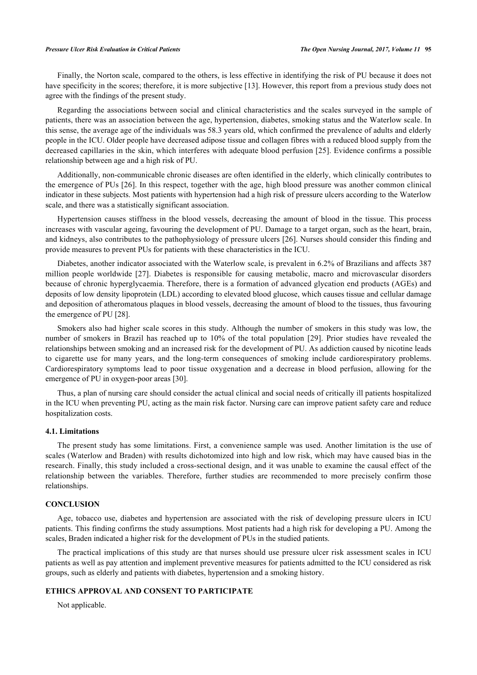#### *Pressure Ulcer Risk Evaluation in Critical Patients The Open Nursing Journal, 2017, Volume 11* **95**

Finally, the Norton scale, compared to the others, is less effective in identifying the risk of PU because it does not have specificity in the scores; therefore, it is more subjective [[13\]](#page-5-12). However, this report from a previous study does not agree with the findings of the present study.

Regarding the associations between social and clinical characteristics and the scales surveyed in the sample of patients, there was an association between the age, hypertension, diabetes, smoking status and the Waterlow scale. In this sense, the average age of the individuals was 58.3 years old, which confirmed the prevalence of adults and elderly people in the ICU. Older people have decreased adipose tissue and collagen fibres with a reduced blood supply from the decreased capillaries in the skin, which interferes with adequate blood perfusion [\[25\]](#page-6-6). Evidence confirms a possible relationship between age and a high risk of PU.

Additionally, non-communicable chronic diseases are often identified in the elderly, which clinically contributes to the emergence of PUs [[26](#page-6-7)]. In this respect, together with the age, high blood pressure was another common clinical indicator in these subjects. Most patients with hypertension had a high risk of pressure ulcers according to the Waterlow scale, and there was a statistically significant association.

Hypertension causes stiffness in the blood vessels, decreasing the amount of blood in the tissue. This process increases with vascular ageing, favouring the development of PU. Damage to a target organ, such as the heart, brain, and kidneys, also contributes to the pathophysiology of pressure ulcers [[26\]](#page-6-7). Nurses should consider this finding and provide measures to prevent PUs for patients with these characteristics in the ICU.

Diabetes, another indicator associated with the Waterlow scale, is prevalent in 6.2% of Brazilians and affects 387 million people worldwide [\[27\]](#page-6-8). Diabetes is responsible for causing metabolic, macro and microvascular disorders because of chronic hyperglycaemia. Therefore, there is a formation of advanced glycation end products (AGEs) and deposits of low density lipoprotein (LDL) according to elevated blood glucose, which causes tissue and cellular damage and deposition of atheromatous plaques in blood vessels, decreasing the amount of blood to the tissues, thus favouring the emergence of PU [[28\]](#page-6-9).

Smokers also had higher scale scores in this study. Although the number of smokers in this study was low, the number of smokers in Brazil has reached up to 10% of the total population [\[29\]](#page-6-10). Prior studies have revealed the relationships between smoking and an increased risk for the development of PU. As addiction caused by nicotine leads to cigarette use for many years, and the long-term consequences of smoking include cardiorespiratory problems. Cardiorespiratory symptoms lead to poor tissue oxygenation and a decrease in blood perfusion, allowing for the emergence of PU in oxygen-poor areas [[30\]](#page-6-11).

Thus, a plan of nursing care should consider the actual clinical and social needs of critically ill patients hospitalized in the ICU when preventing PU, acting as the main risk factor. Nursing care can improve patient safety care and reduce hospitalization costs.

## **4.1. Limitations**

The present study has some limitations. First, a convenience sample was used. Another limitation is the use of scales (Waterlow and Braden) with results dichotomized into high and low risk, which may have caused bias in the research. Finally, this study included a cross-sectional design, and it was unable to examine the causal effect of the relationship between the variables. Therefore, further studies are recommended to more precisely confirm those relationships.

## **CONCLUSION**

Age, tobacco use, diabetes and hypertension are associated with the risk of developing pressure ulcers in ICU patients. This finding confirms the study assumptions. Most patients had a high risk for developing a PU. Among the scales, Braden indicated a higher risk for the development of PUs in the studied patients.

The practical implications of this study are that nurses should use pressure ulcer risk assessment scales in ICU patients as well as pay attention and implement preventive measures for patients admitted to the ICU considered as risk groups, such as elderly and patients with diabetes, hypertension and a smoking history.

## **ETHICS APPROVAL AND CONSENT TO PARTICIPATE**

Not applicable.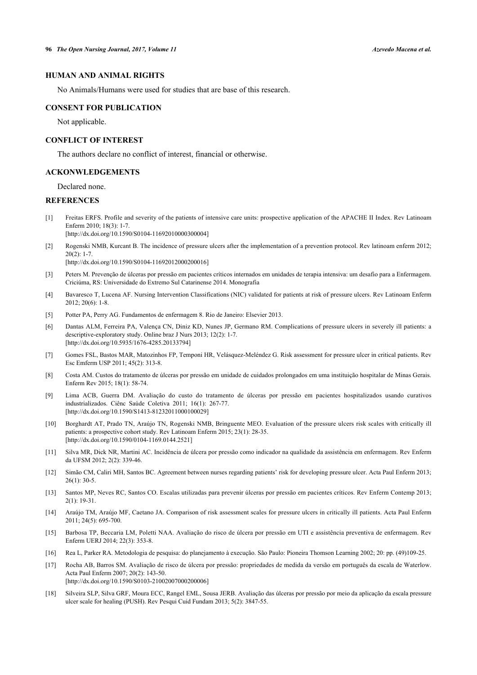# **HUMAN AND ANIMAL RIGHTS**

No Animals/Humans were used for studies that are base of this research.

#### **CONSENT FOR PUBLICATION**

Not applicable.

## **CONFLICT OF INTEREST**

The authors declare no conflict of interest, financial or otherwise.

## **ACKONWLEDGEMENTS**

Declared none.

## **REFERENCES**

- <span id="page-5-0"></span>[1] Freitas ERFS. Profile and severity of the patients of intensive care units: prospective application of the APACHE II Index. Rev Latinoam Enferm 2010; 18(3): 1-7. [\[http://dx.doi.org/10.1590/S0104-11692010000300004\]](http://dx.doi.org/10.1590/S0104-11692010000300004)
- <span id="page-5-1"></span>[2] Rogenski NMB, Kurcant B. The incidence of pressure ulcers after the implementation of a prevention protocol. Rev latinoam enferm 2012;  $20(2): 1-7.$

[\[http://dx.doi.org/10.1590/S0104-11692012000200016\]](http://dx.doi.org/10.1590/S0104-11692012000200016)

- <span id="page-5-2"></span>[3] Peters M. Prevenção de úlceras por pressão em pacientes críticos internados em unidades de terapia intensiva: um desafio para a Enfermagem. Criciúma, RS: Universidade do Extremo Sul Catarinense 2014. Monografia
- <span id="page-5-3"></span>[4] Bavaresco T, Lucena AF. Nursing Intervention Classifications (NIC) validated for patients at risk of pressure ulcers. Rev Latinoam Enferm 2012; 20(6): 1-8.
- <span id="page-5-4"></span>[5] Potter PA, Perry AG. Fundamentos de enfermagem 8. Rio de Janeiro: Elsevier 2013.
- <span id="page-5-5"></span>[6] Dantas ALM, Ferreira PA, Valença CN, Diniz KD, Nunes JP, Germano RM. Complications of pressure ulcers in severely ill patients: a descriptive-exploratory study. Online braz J Nurs 2013; 12(2): 1-7. [\[http://dx.doi.org/10.5935/1676-4285.20133794](http://dx.doi.org/10.5935/1676-4285.20133794)]
- <span id="page-5-6"></span>[7] Gomes FSL, Bastos MAR, Matozinhos FP, Temponi HR, Velásquez-Meléndez G. Risk assessment for pressure ulcer in critical patients. Rev Esc Emferm USP 2011; 45(2): 313-8.
- <span id="page-5-7"></span>[8] Costa AM. Custos do tratamento de úlceras por pressão em unidade de cuidados prolongados em uma instituição hospitalar de Minas Gerais. Enferm Rev 2015; 18(1): 58-74.
- <span id="page-5-8"></span>[9] Lima ACB, Guerra DM. Avaliação do custo do tratamento de úlceras por pressão em pacientes hospitalizados usando curativos industrializados. Ciênc Saúde Coletiva 2011; 16(1): 267-77. [\[http://dx.doi.org/10.1590/S1413-81232011000100029\]](http://dx.doi.org/10.1590/S1413-81232011000100029)
- <span id="page-5-9"></span>[10] Borghardt AT, Prado TN, Araújo TN, Rogenski NMB, Bringuente MEO. Evaluation of the pressure ulcers risk scales with critically ill patients: a prospective cohort study. Rev Latinoam Enferm 2015; 23(1): 28-35. [\[http://dx.doi.org/10.1590/0104-1169.0144.2521](http://dx.doi.org/10.1590/0104-1169.0144.2521)]
- <span id="page-5-10"></span>[11] Silva MR, Dick NR, Martini AC. Incidência de úlcera por pressão como indicador na qualidade da assistência em enfermagem. Rev Enferm da UFSM 2012; 2(2): 339-46.
- <span id="page-5-11"></span>[12] Simão CM, Caliri MH, Santos BC. Agreement between nurses regarding patients' risk for developing pressure ulcer. Acta Paul Enferm 2013;  $26(1)$ : 30-5.
- <span id="page-5-12"></span>[13] Santos MP, Neves RC, Santos CO. Escalas utilizadas para prevenir úlceras por pressão em pacientes críticos. Rev Enferm Contemp 2013;  $2(1)$ : 19-31.
- <span id="page-5-13"></span>[14] Araújo TM, Araújo MF, Caetano JA. Comparison of risk assessment scales for pressure ulcers in critically ill patients. Acta Paul Enferm 2011; 24(5): 695-700.
- <span id="page-5-14"></span>[15] Barbosa TP, Beccaria LM, Poletti NAA. Avaliação do risco de úlcera por pressão em UTI e assistência preventiva de enfermagem. Rev Enferm UERJ 2014; 22(3): 353-8.
- <span id="page-5-15"></span>[16] Rea L, Parker RA. Metodologia de pesquisa: do planejamento à execução. São Paulo: Pioneira Thomson Learning 2002; 20: pp. (49)109-25.
- <span id="page-5-16"></span>[17] Rocha AB, Barros SM. Avaliação de risco de úlcera por pressão: propriedades de medida da versão em português da escala de Waterlow. Acta Paul Enferm 2007; 20(2): 143-50. [\[http://dx.doi.org/10.1590/S0103-21002007000200006\]](http://dx.doi.org/10.1590/S0103-21002007000200006)
- <span id="page-5-17"></span>[18] Silveira SLP, Silva GRF, Moura ECC, Rangel EML, Sousa JERB. Avaliação das úlceras por pressão por meio da aplicação da escala pressure ulcer scale for healing (PUSH). Rev Pesqui Cuid Fundam 2013; 5(2): 3847-55.